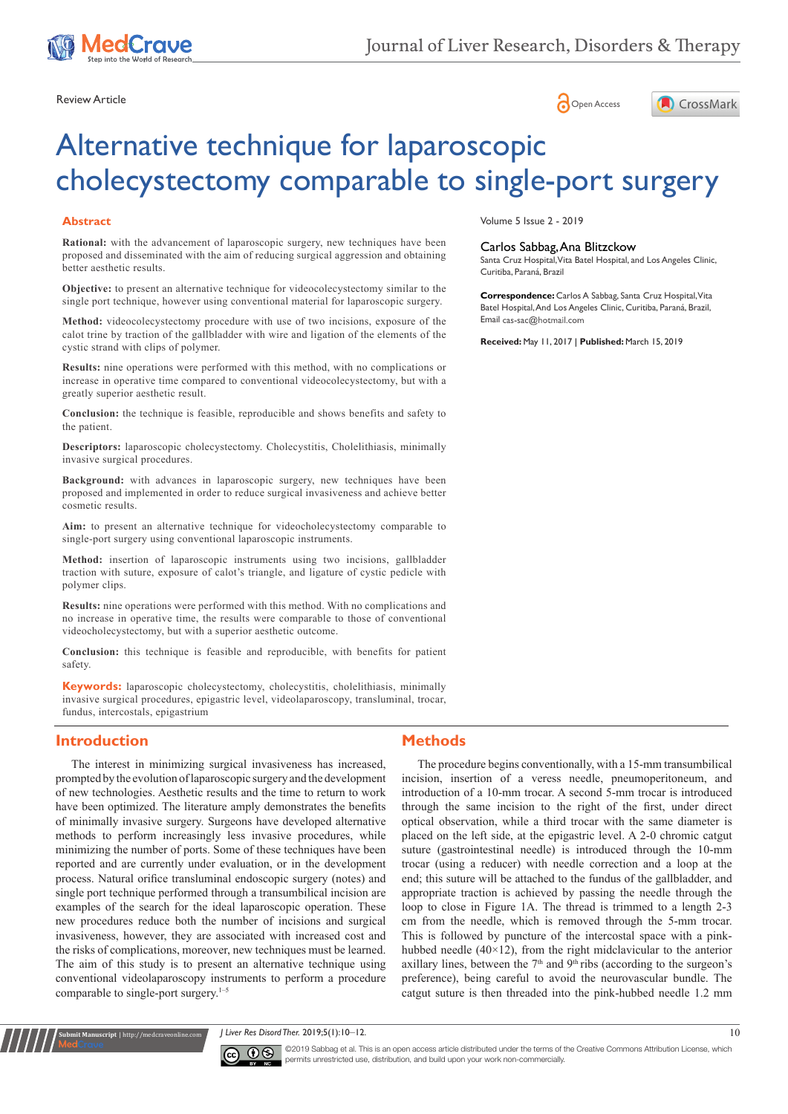





# Alternative technique for laparoscopic cholecystectomy comparable to single-port surgery

#### **Abstract**

**Rational:** with the advancement of laparoscopic surgery, new techniques have been proposed and disseminated with the aim of reducing surgical aggression and obtaining better aesthetic results.

**Objective:** to present an alternative technique for videocolecystectomy similar to the single port technique, however using conventional material for laparoscopic surgery.

**Method:** videocolecystectomy procedure with use of two incisions, exposure of the calot trine by traction of the gallbladder with wire and ligation of the elements of the cystic strand with clips of polymer.

**Results:** nine operations were performed with this method, with no complications or increase in operative time compared to conventional videocolecystectomy, but with a greatly superior aesthetic result.

**Conclusion:** the technique is feasible, reproducible and shows benefits and safety to the patient.

**Descriptors:** laparoscopic cholecystectomy. Cholecystitis, Cholelithiasis, minimally invasive surgical procedures.

**Background:** with advances in laparoscopic surgery, new techniques have been proposed and implemented in order to reduce surgical invasiveness and achieve better cosmetic results.

**Aim:** to present an alternative technique for videocholecystectomy comparable to single-port surgery using conventional laparoscopic instruments.

**Method:** insertion of laparoscopic instruments using two incisions, gallbladder traction with suture, exposure of calot's triangle, and ligature of cystic pedicle with polymer clips.

**Results:** nine operations were performed with this method. With no complications and no increase in operative time, the results were comparable to those of conventional videocholecystectomy, but with a superior aesthetic outcome.

**Conclusion:** this technique is feasible and reproducible, with benefits for patient safety.

**Keywords:** laparoscopic cholecystectomy, cholecystitis, cholelithiasis, minimally invasive surgical procedures, epigastric level, videolaparoscopy, transluminal, trocar, fundus, intercostals, epigastrium

#### **Introduction**

**it Manuscript** | http://medcraveonline.

The interest in minimizing surgical invasiveness has increased, prompted by the evolution of laparoscopic surgery and the development of new technologies. Aesthetic results and the time to return to work have been optimized. The literature amply demonstrates the benefits of minimally invasive surgery. Surgeons have developed alternative methods to perform increasingly less invasive procedures, while minimizing the number of ports. Some of these techniques have been reported and are currently under evaluation, or in the development process. Natural orifice transluminal endoscopic surgery (notes) and single port technique performed through a transumbilical incision are examples of the search for the ideal laparoscopic operation. These new procedures reduce both the number of incisions and surgical invasiveness, however, they are associated with increased cost and the risks of complications, moreover, new techniques must be learned. The aim of this study is to present an alternative technique using conventional videolaparoscopy instruments to perform a procedure comparable to single-port surgery.<sup>1-5</sup>

Volume 5 Issue 2 - 2019

#### Carlos Sabbag, Ana Blitzckow

Santa Cruz Hospital, Vita Batel Hospital, and Los Angeles Clinic, Curitiba, Paraná, Brazil

**Correspondence:** Carlos A Sabbag, Santa Cruz Hospital, Vita Batel Hospital, And Los Angeles Clinic, Curitiba, Paraná, Brazil, Email cas-sac@hotmail.com

**Received:** May 11, 2017 | **Published:** March 15, 2019

#### **Methods**

The procedure begins conventionally, with a 15-mm transumbilical incision, insertion of a veress needle, pneumoperitoneum, and introduction of a 10-mm trocar. A second 5-mm trocar is introduced through the same incision to the right of the first, under direct optical observation, while a third trocar with the same diameter is placed on the left side, at the epigastric level. A 2-0 chromic catgut suture (gastrointestinal needle) is introduced through the 10-mm trocar (using a reducer) with needle correction and a loop at the end; this suture will be attached to the fundus of the gallbladder, and appropriate traction is achieved by passing the needle through the loop to close in Figure 1A. The thread is trimmed to a length 2-3 cm from the needle, which is removed through the 5-mm trocar. This is followed by puncture of the intercostal space with a pinkhubbed needle  $(40\times12)$ , from the right midclavicular to the anterior axillary lines, between the  $7<sup>th</sup>$  and  $9<sup>th</sup>$  ribs (according to the surgeon's preference), being careful to avoid the neurovascular bundle. The catgut suture is then threaded into the pink-hubbed needle 1.2 mm

*J Liver Res Disord Ther.* 2019;5(1):10‒12. 10



©2019 Sabbag et al. This is an open access article distributed under the terms of the [Creative Commons Attribution License,](https://creativecommons.org/licenses/by-nc/4.0/) which permits unrestricted use, distribution, and build upon your work non-commercially.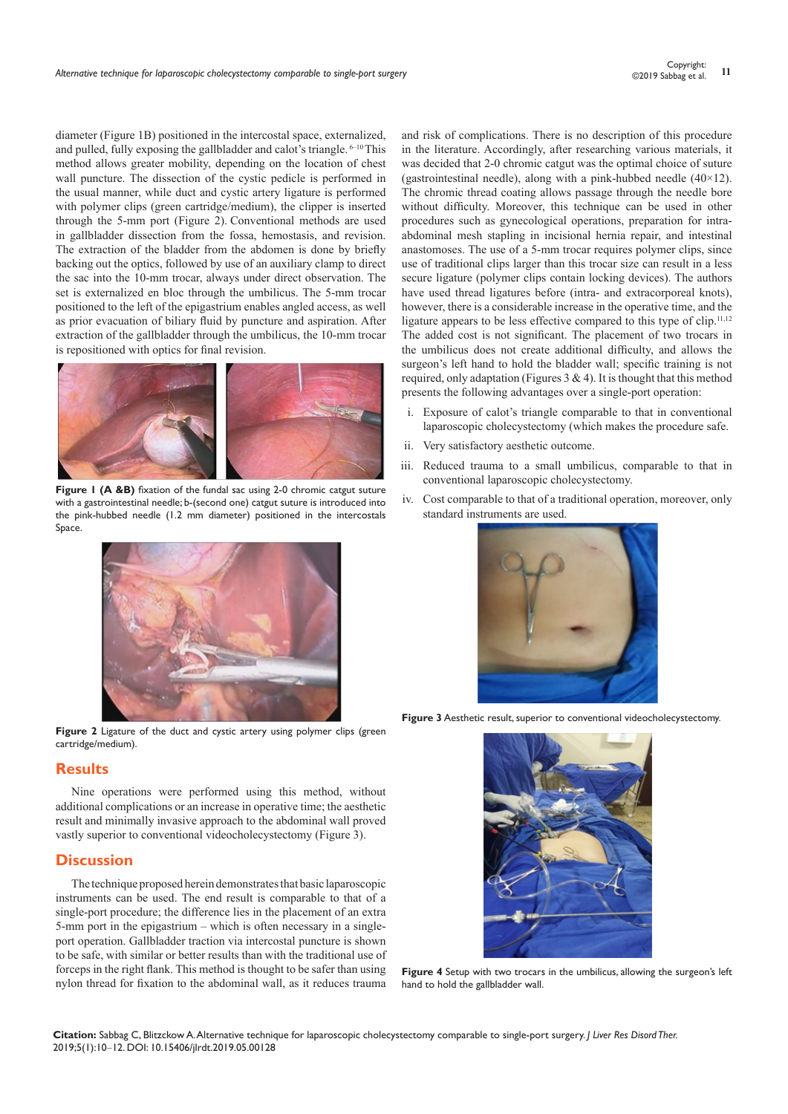diameter (Figure 1B) positioned in the intercostal space, externalized, and pulled, fully exposing the gallbladder and calot's triangle.  $6-10$  This method allows greater mobility, depending on the location of chest wall puncture. The dissection of the cystic pedicle is performed in the usual manner, while duct and cystic artery ligature is performed with polymer clips (green cartridge/medium), the clipper is inserted through the 5-mm port (Figure 2). Conventional methods are used in gallbladder dissection from the fossa, hemostasis, and revision. The extraction of the bladder from the abdomen is done by briefly backing out the optics, followed by use of an auxiliary clamp to direct the sac into the 10-mm trocar, always under direct observation. The set is externalized en bloc through the umbilicus. The 5-mm trocar positioned to the left of the epigastrium enables angled access, as well as prior evacuation of biliary fluid by puncture and aspiration. After extraction of the gallbladder through the umbilicus, the 10-mm trocar is repositioned with optics for final revision.



**Figure 1 (A &B)** fixation of the fundal sac using 2-0 chromic catgut suture with a gastrointestinal needle; b-(second one) catgut suture is introduced into the pink-hubbed needle (1.2 mm diameter) positioned in the intercostals Space.



Figure 2 Ligature of the duct and cystic artery using polymer clips (green cartridge/medium).

# **Results**

Nine operations were performed using this method, without additional complications or an increase in operative time; the aesthetic result and minimally invasive approach to the abdominal wall proved vastly superior to conventional videocholecystectomy (Figure 3).

## **Discussion**

The technique proposed herein demonstrates that basic laparoscopic instruments can be used. The end result is comparable to that of a single-port procedure; the difference lies in the placement of an extra 5-mm port in the epigastrium – which is often necessary in a singleport operation. Gallbladder traction via intercostal puncture is shown to be safe, with similar or better results than with the traditional use of forceps in the right flank. This method is thought to be safer than using nylon thread for fixation to the abdominal wall, as it reduces trauma and risk of complications. There is no description of this procedure in the literature. Accordingly, after researching various materials, it was decided that 2-0 chromic catgut was the optimal choice of suture (gastrointestinal needle), along with a pink-hubbed needle  $(40\times12)$ . The chromic thread coating allows passage through the needle bore without difficulty. Moreover, this technique can be used in other procedures such as gynecological operations, preparation for intraabdominal mesh stapling in incisional hernia repair, and intestinal anastomoses. The use of a 5-mm trocar requires polymer clips, since use of traditional clips larger than this trocar size can result in a less secure ligature (polymer clips contain locking devices). The authors have used thread ligatures before (intra- and extracorporeal knots), however, there is a considerable increase in the operative time, and the ligature appears to be less effective compared to this type of clip.<sup>11,12</sup> The added cost is not significant. The placement of two trocars in the umbilicus does not create additional difficulty, and allows the surgeon's left hand to hold the bladder wall; specific training is not required, only adaptation (Figures  $3 \& 4$ ). It is thought that this method presents the following advantages over a single-port operation:

- i. Exposure of calot's triangle comparable to that in conventional laparoscopic cholecystectomy (which makes the procedure safe.
- ii. Very satisfactory aesthetic outcome.
- iii. Reduced trauma to a small umbilicus, comparable to that in conventional laparoscopic cholecystectomy.
- iv. Cost comparable to that of a traditional operation, moreover, only standard instruments are used.



**Figure 3** Aesthetic result, superior to conventional videocholecystectomy.



**Figure 4** Setup with two trocars in the umbilicus, allowing the surgeon's left hand to hold the gallbladder wall.

**Citation:** Sabbag C, Blitzckow A. Alternative technique for laparoscopic cholecystectomy comparable to single-port surgery. *J Liver Res Disord Ther.* 2019;5(1):10‒12. DOI: [10.15406/jlrdt.2019.05.00128](https://doi.org/10.15406/jlrdt.2019.05.00128)